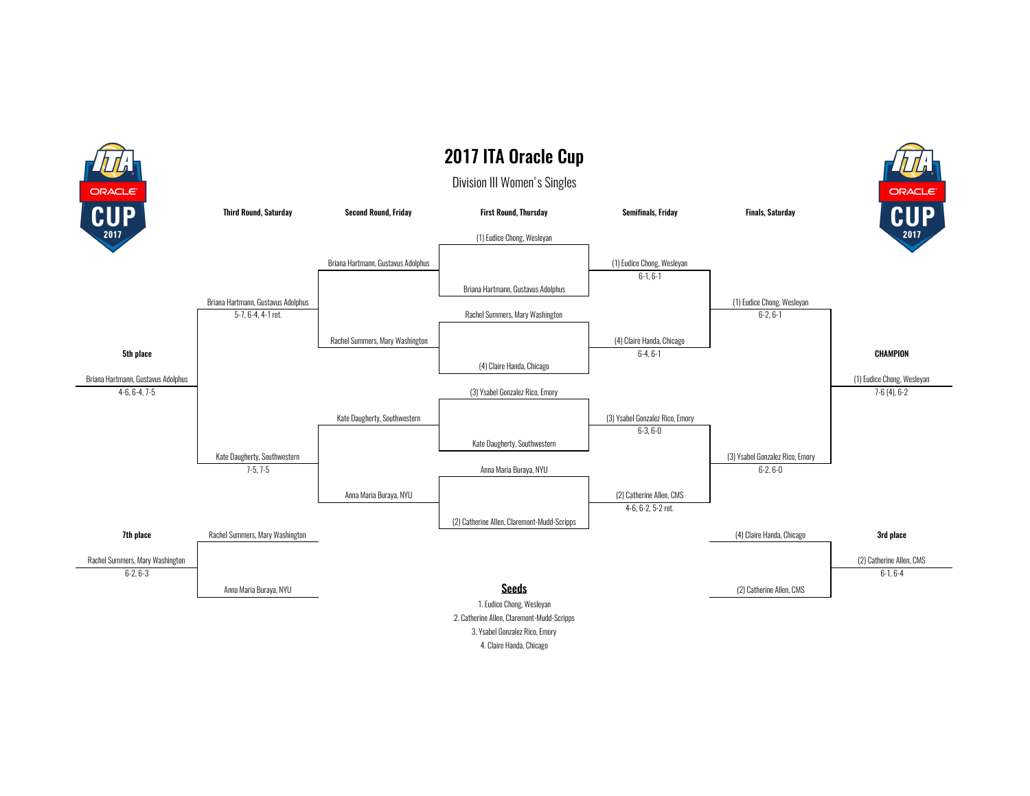